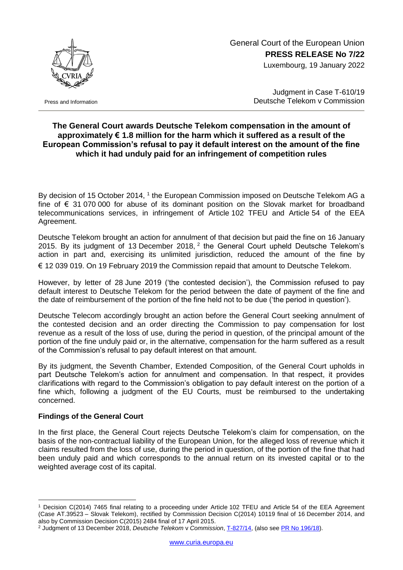

Press and Information

## General Court of the European Union **PRESS RELEASE No 7/22** Luxembourg, 19 January 2022

Judgment in Case T-610/19 Deutsche Telekom v Commission

## **The General Court awards Deutsche Telekom compensation in the amount of approximately € 1.8 million for the harm which it suffered as a result of the European Commission's refusal to pay it default interest on the amount of the fine which it had unduly paid for an infringement of competition rules**

By decision of 15 October 2014, <sup>1</sup> the European Commission imposed on Deutsche Telekom AG a fine of € 31 070 000 for abuse of its dominant position on the Slovak market for broadband telecommunications services, in infringement of Article 102 TFEU and Article 54 of the EEA Agreement.

Deutsche Telekom brought an action for annulment of that decision but paid the fine on 16 January 2015. By its judgment of 13 December 2018,  $2$  the General Court upheld Deutsche Telekom's action in part and, exercising its unlimited jurisdiction, reduced the amount of the fine by € 12 039 019. On 19 February 2019 the Commission repaid that amount to Deutsche Telekom.

However, by letter of 28 June 2019 ('the contested decision'), the Commission refused to pay default interest to Deutsche Telekom for the period between the date of payment of the fine and the date of reimbursement of the portion of the fine held not to be due ('the period in question').

Deutsche Telecom accordingly brought an action before the General Court seeking annulment of the contested decision and an order directing the Commission to pay compensation for lost revenue as a result of the loss of use, during the period in question, of the principal amount of the portion of the fine unduly paid or, in the alternative, compensation for the harm suffered as a result of the Commission's refusal to pay default interest on that amount.

By its judgment, the Seventh Chamber, Extended Composition, of the General Court upholds in part Deutsche Telekom's action for annulment and compensation. In that respect, it provides clarifications with regard to the Commission's obligation to pay default interest on the portion of a fine which, following a judgment of the EU Courts, must be reimbursed to the undertaking concerned.

## **Findings of the General Court**

1

In the first place, the General Court rejects Deutsche Telekom's claim for compensation, on the basis of the non-contractual liability of the European Union, for the alleged loss of revenue which it claims resulted from the loss of use, during the period in question, of the portion of the fine that had been unduly paid and which corresponds to the annual return on its invested capital or to the weighted average cost of its capital.

<sup>1</sup> Decision C(2014) 7465 final relating to a proceeding under Article 102 TFEU and Article 54 of the EEA Agreement (Case AT.39523 – Slovak Telekom), rectified by Commission Decision C(2014) 10119 final of 16 December 2014, and also by Commission Decision C(2015) 2484 final of 17 April 2015.

<sup>2</sup> Judgment of 13 December 2018, *Deutsche Telekom* v *Commission*, [T-827/14,](https://curia.europa.eu/juris/documents.jsf?num=T-827/14) (also see PR No [196/18\)](https://curia.europa.eu/jcms/upload/docs/application/pdf/2018-12/cp180196en.pdf).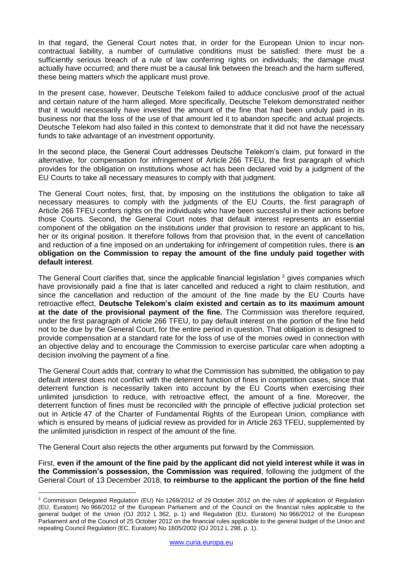In that regard, the General Court notes that, in order for the European Union to incur noncontractual liability, a number of cumulative conditions must be satisfied: there must be a sufficiently serious breach of a rule of law conferring rights on individuals; the damage must actually have occurred; and there must be a causal link between the breach and the harm suffered, these being matters which the applicant must prove.

In the present case, however, Deutsche Telekom failed to adduce conclusive proof of the actual and certain nature of the harm alleged. More specifically, Deutsche Telekom demonstrated neither that it would necessarily have invested the amount of the fine that had been unduly paid in its business nor that the loss of the use of that amount led it to abandon specific and actual projects. Deutsche Telekom had also failed in this context to demonstrate that it did not have the necessary funds to take advantage of an investment opportunity.

In the second place, the General Court addresses Deutsche Telekom's claim, put forward in the alternative, for compensation for infringement of Article 266 TFEU, the first paragraph of which provides for the obligation on institutions whose act has been declared void by a judgment of the EU Courts to take all necessary measures to comply with that judgment.

The General Court notes, first, that, by imposing on the institutions the obligation to take all necessary measures to comply with the judgments of the EU Courts, the first paragraph of Article 266 TFEU confers rights on the individuals who have been successful in their actions before those Courts. Second, the General Court notes that default interest represents an essential component of the obligation on the institutions under that provision to restore an applicant to his, her or its original position. It therefore follows from that provision that, in the event of cancellation and reduction of a fine imposed on an undertaking for infringement of competition rules, there is **an obligation on the Commission to repay the amount of the fine unduly paid together with default interest**.

The General Court clarifies that, since the applicable financial legislation <sup>3</sup> gives companies which have provisionally paid a fine that is later cancelled and reduced a right to claim restitution, and since the cancellation and reduction of the amount of the fine made by the EU Courts have retroactive effect, **Deutsche Telekom's claim existed and certain as to its maximum amount at the date of the provisional payment of the fine.** The Commission was therefore required, under the first paragraph of Article 266 TFEU, to pay default interest on the portion of the fine held not to be due by the General Court, for the entire period in question. That obligation is designed to provide compensation at a standard rate for the loss of use of the monies owed in connection with an objective delay and to encourage the Commission to exercise particular care when adopting a decision involving the payment of a fine.

The General Court adds that, contrary to what the Commission has submitted, the obligation to pay default interest does not conflict with the deterrent function of fines in competition cases, since that deterrent function is necessarily taken into account by the EU Courts when exercising their unlimited jurisdiction to reduce, with retroactive effect, the amount of a fine. Moreover, the deterrent function of fines must be reconciled with the principle of effective judicial protection set out in Article 47 of the Charter of Fundamental Rights of the European Union, compliance with which is ensured by means of judicial review as provided for in Article 263 TFEU, supplemented by the unlimited jurisdiction in respect of the amount of the fine.

The General Court also rejects the other arguments put forward by the Commission.

1

First, **even if the amount of the fine paid by the applicant did not yield interest while it was in the Commission's possession, the Commission was required**, following the judgment of the General Court of 13 December 2018, **to reimburse to the applicant the portion of the fine held** 

<sup>3</sup> Commission Delegated Regulation (EU) No 1268/2012 of 29 October 2012 on the rules of application of Regulation (EU, Euratom) No 966/2012 of the European Parliament and of the Council on the financial rules applicable to the general budget of the Union (OJ 2012 L 362, p. 1) and Regulation (EU, Euratom) No 966/2012 of the European Parliament and of the Council of 25 October 2012 on the financial rules applicable to the general budget of the Union and repealing Council Regulation (EC, Euratom) No 1605/2002 (OJ 2012 L 298, p. 1).